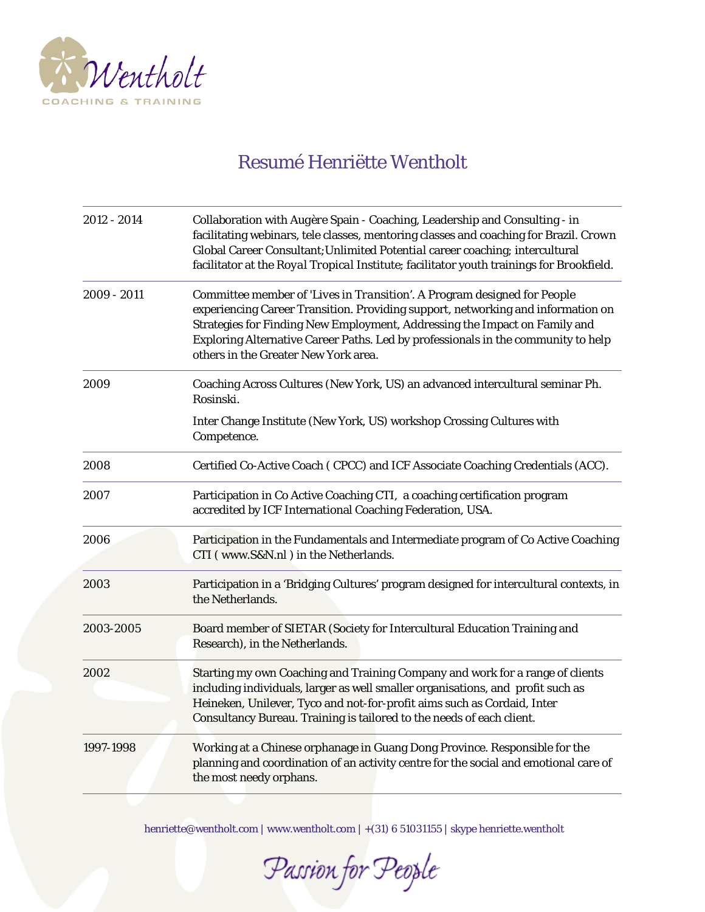

## Resumé Henriëtte Wentholt

| 2012 - 2014   | Collaboration with Augère Spain - Coaching, Leadership and Consulting - in<br>facilitating webinars, tele classes, mentoring classes and coaching for Brazil. Crown<br>Global Career Consultant; Unlimited Potential career coaching; intercultural<br>facilitator at the Royal Tropical Institute; facilitator youth trainings for Brookfield.                         |
|---------------|-------------------------------------------------------------------------------------------------------------------------------------------------------------------------------------------------------------------------------------------------------------------------------------------------------------------------------------------------------------------------|
| $2009 - 2011$ | Committee member of 'Lives in Transition'. A Program designed for People<br>experiencing Career Transition. Providing support, networking and information on<br>Strategies for Finding New Employment, Addressing the Impact on Family and<br>Exploring Alternative Career Paths. Led by professionals in the community to help<br>others in the Greater New York area. |
| 2009          | Coaching Across Cultures (New York, US) an advanced intercultural seminar Ph.<br>Rosinski.                                                                                                                                                                                                                                                                              |
|               | Inter Change Institute (New York, US) workshop Crossing Cultures with<br>Competence.                                                                                                                                                                                                                                                                                    |
| 2008          | Certified Co-Active Coach (CPCC) and ICF Associate Coaching Credentials (ACC).                                                                                                                                                                                                                                                                                          |
| 2007          | Participation in Co Active Coaching CTI, a coaching certification program<br>accredited by ICF International Coaching Federation, USA.                                                                                                                                                                                                                                  |
| 2006          | Participation in the Fundamentals and Intermediate program of Co Active Coaching<br>CTI (www.S&N.nl) in the Netherlands.                                                                                                                                                                                                                                                |
| 2003          | Participation in a 'Bridging Cultures' program designed for intercultural contexts, in<br>the Netherlands.                                                                                                                                                                                                                                                              |
| 2003-2005     | Board member of SIETAR (Society for Intercultural Education Training and<br>Research), in the Netherlands.                                                                                                                                                                                                                                                              |
| 2002          | Starting my own Coaching and Training Company and work for a range of clients<br>including individuals, larger as well smaller organisations, and profit such as<br>Heineken, Unilever, Tyco and not-for-profit aims such as Cordaid, Inter<br>Consultancy Bureau. Training is tailored to the needs of each client.                                                    |
| 1997-1998     | Working at a Chinese orphanage in Guang Dong Province. Responsible for the<br>planning and coordination of an activity centre for the social and emotional care of<br>the most needy orphans.                                                                                                                                                                           |

Passion for People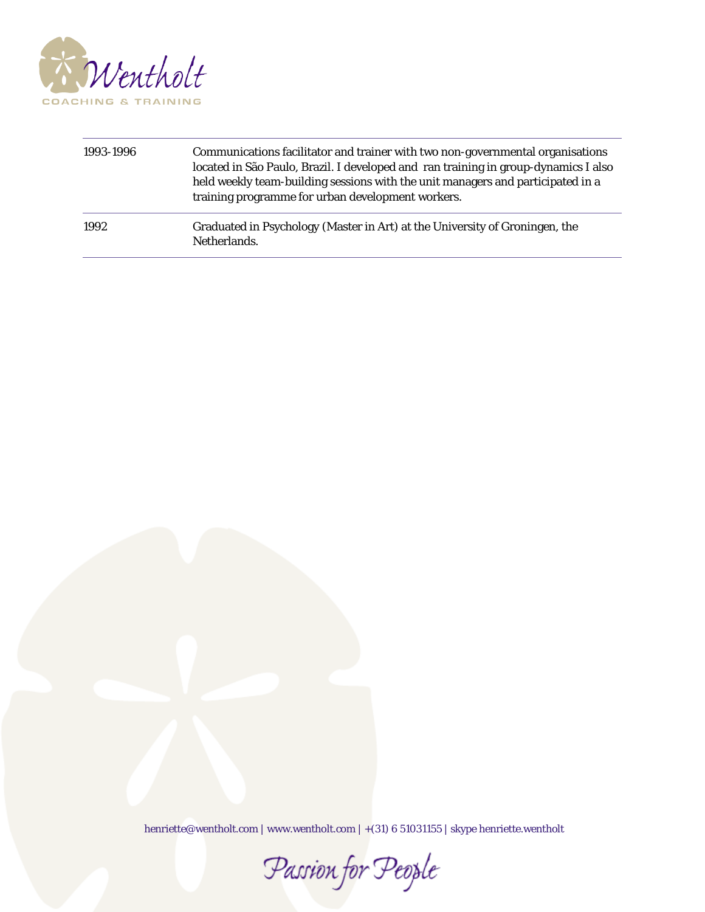

| 1993-1996 | Communications facilitator and trainer with two non-governmental organisations<br>located in São Paulo, Brazil. I developed and ran training in group-dynamics I also<br>held weekly team-building sessions with the unit managers and participated in a<br>training programme for urban development workers. |
|-----------|---------------------------------------------------------------------------------------------------------------------------------------------------------------------------------------------------------------------------------------------------------------------------------------------------------------|
| 1992      | Graduated in Psychology (Master in Art) at the University of Groningen, the<br>Netherlands.                                                                                                                                                                                                                   |

Passion for People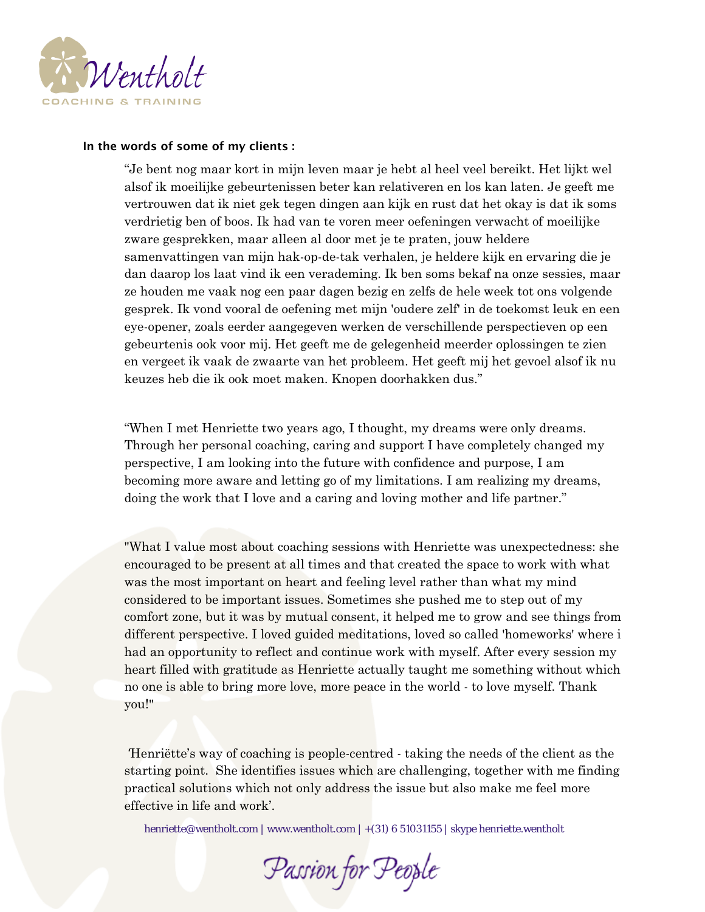

## **In the words of some of my clients :**

"Je bent nog maar kort in mijn leven maar je hebt al heel veel bereikt. Het lijkt wel alsof ik moeilijke gebeurtenissen beter kan relativeren en los kan laten. Je geeft me vertrouwen dat ik niet gek tegen dingen aan kijk en rust dat het okay is dat ik soms verdrietig ben of boos. Ik had van te voren meer oefeningen verwacht of moeilijke zware gesprekken, maar alleen al door met je te praten, jouw heldere samenvattingen van mijn hak-op-de-tak verhalen, je heldere kijk en ervaring die je dan daarop los laat vind ik een verademing. Ik ben soms bekaf na onze sessies, maar ze houden me vaak nog een paar dagen bezig en zelfs de hele week tot ons volgende gesprek. Ik vond vooral de oefening met mijn 'oudere zelf' in de toekomst leuk en een eye-opener, zoals eerder aangegeven werken de verschillende perspectieven op een gebeurtenis ook voor mij. Het geeft me de gelegenheid meerder oplossingen te zien en vergeet ik vaak de zwaarte van het probleem. Het geeft mij het gevoel alsof ik nu keuzes heb die ik ook moet maken. Knopen doorhakken dus."

"When I met Henriette two years ago, I thought, my dreams were only dreams. Through her personal coaching, caring and support I have completely changed my perspective, I am looking into the future with confidence and purpose, I am becoming more aware and letting go of my limitations. I am realizing my dreams, doing the work that I love and a caring and loving mother and life partner."

"What I value most about coaching sessions with Henriette was unexpectedness: she encouraged to be present at all times and that created the space to work with what was the most important on heart and feeling level rather than what my mind considered to be important issues. Sometimes she pushed me to step out of my comfort zone, but it was by mutual consent, it helped me to grow and see things from different perspective. I loved guided meditations, loved so called 'homeworks' where i had an opportunity to reflect and continue work with myself. After every session my heart filled with gratitude as Henriette actually taught me something without which no one is able to bring more love, more peace in the world - to love myself. Thank you!"

'Henriëtte's way of coaching is people-centred - taking the needs of the client as the starting point. She identifies issues which are challenging, together with me finding practical solutions which not only address the issue but also make me feel more effective in life and work'.

Passion for People